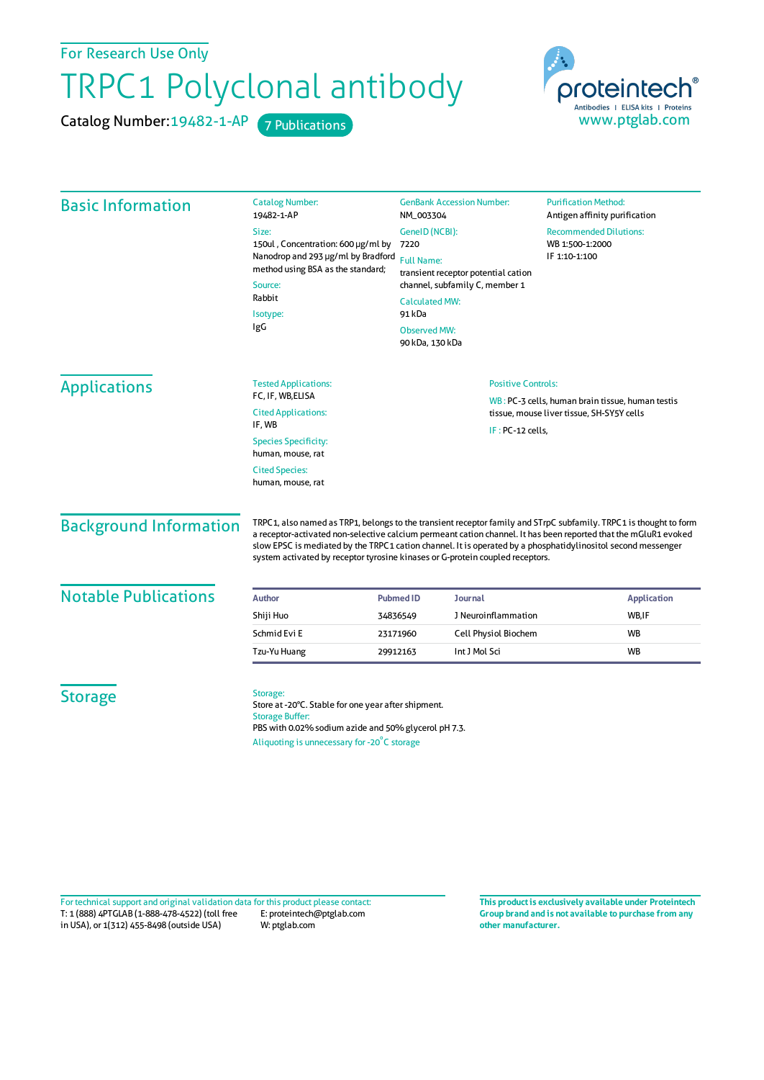For Research Use Only

## TRPC1 Polyclonal antibody

Catalog Number: 19482-1-AP 7 Publications



| <b>Basic Information</b>      | <b>Catalog Number:</b><br>19482-1-AP<br>Size:<br>150ul, Concentration: 600 µg/ml by<br>Nanodrop and 293 µg/ml by Bradford<br>method using BSA as the standard;<br>Source:<br>Rabbit<br>Isotype:<br>IgG                                                                                                                                                                                                                                | <b>GenBank Accession Number:</b><br>NM_003304<br>GenelD (NCBI):<br>7220<br><b>Full Name:</b><br>transient receptor potential cation<br>channel, subfamily C, member 1<br><b>Calculated MW:</b><br>91 kDa<br><b>Observed MW:</b><br>90 kDa, 130 kDa | <b>Purification Method:</b><br>Antigen affinity purification<br><b>Recommended Dilutions:</b><br>WB 1:500-1:2000<br>IF 1:10-1:100 |
|-------------------------------|---------------------------------------------------------------------------------------------------------------------------------------------------------------------------------------------------------------------------------------------------------------------------------------------------------------------------------------------------------------------------------------------------------------------------------------|----------------------------------------------------------------------------------------------------------------------------------------------------------------------------------------------------------------------------------------------------|-----------------------------------------------------------------------------------------------------------------------------------|
| <b>Applications</b>           | <b>Tested Applications:</b><br>FC, IF, WB,ELISA                                                                                                                                                                                                                                                                                                                                                                                       | <b>Positive Controls:</b><br>WB: PC-3 cells, human brain tissue, human testis<br>tissue, mouse liver tissue, SH-SY5Y cells                                                                                                                         |                                                                                                                                   |
|                               | <b>Cited Applications:</b><br>IF, WB                                                                                                                                                                                                                                                                                                                                                                                                  |                                                                                                                                                                                                                                                    |                                                                                                                                   |
|                               |                                                                                                                                                                                                                                                                                                                                                                                                                                       |                                                                                                                                                                                                                                                    | $IF: PC-12 cells,$                                                                                                                |
|                               | <b>Species Specificity:</b><br>human, mouse, rat                                                                                                                                                                                                                                                                                                                                                                                      |                                                                                                                                                                                                                                                    |                                                                                                                                   |
|                               | <b>Cited Species:</b>                                                                                                                                                                                                                                                                                                                                                                                                                 |                                                                                                                                                                                                                                                    |                                                                                                                                   |
|                               | human, mouse, rat                                                                                                                                                                                                                                                                                                                                                                                                                     |                                                                                                                                                                                                                                                    |                                                                                                                                   |
| <b>Background Information</b> | TRPC1, also named as TRP1, belongs to the transient receptor family and STrpC subfamily. TRPC1 is thought to form<br>a receptor-activated non-selective calcium permeant cation channel. It has been reported that the mGluR1 evoked<br>slow EPSC is mediated by the TRPC1 cation channel. It is operated by a phosphatidylinositol second messenger<br>system activated by receptor tyrosine kinases or G-protein coupled receptors. |                                                                                                                                                                                                                                                    |                                                                                                                                   |
| <b>Notable Publications</b>   | Author                                                                                                                                                                                                                                                                                                                                                                                                                                | <b>Pubmed ID</b><br><b>Journal</b>                                                                                                                                                                                                                 | <b>Application</b>                                                                                                                |
|                               | Shiji Huo                                                                                                                                                                                                                                                                                                                                                                                                                             | J Neuroinflammation<br>34836549                                                                                                                                                                                                                    | WB,IF                                                                                                                             |
|                               | Schmid Evi E                                                                                                                                                                                                                                                                                                                                                                                                                          | Cell Physiol Biochem<br>23171960                                                                                                                                                                                                                   | <b>WB</b>                                                                                                                         |
|                               | Tzu-Yu Huang                                                                                                                                                                                                                                                                                                                                                                                                                          | Int J Mol Sci<br>29912163                                                                                                                                                                                                                          | WB                                                                                                                                |
| <b>Storage</b>                | Storage:<br>Store at -20°C. Stable for one year after shipment.<br><b>Storage Buffer:</b><br>PBS with 0.02% sodium azide and 50% glycerol pH 7.3.<br>Aliquoting is unnecessary for -20°C storage                                                                                                                                                                                                                                      |                                                                                                                                                                                                                                                    |                                                                                                                                   |

T: 1 (888) 4PTGLAB (1-888-478-4522) (toll free in USA), or 1(312) 455-8498 (outside USA) E: proteintech@ptglab.com W: ptglab.com Fortechnical support and original validation data forthis product please contact: **This productis exclusively available under Proteintech**

**Group brand and is not available to purchase from any other manufacturer.**